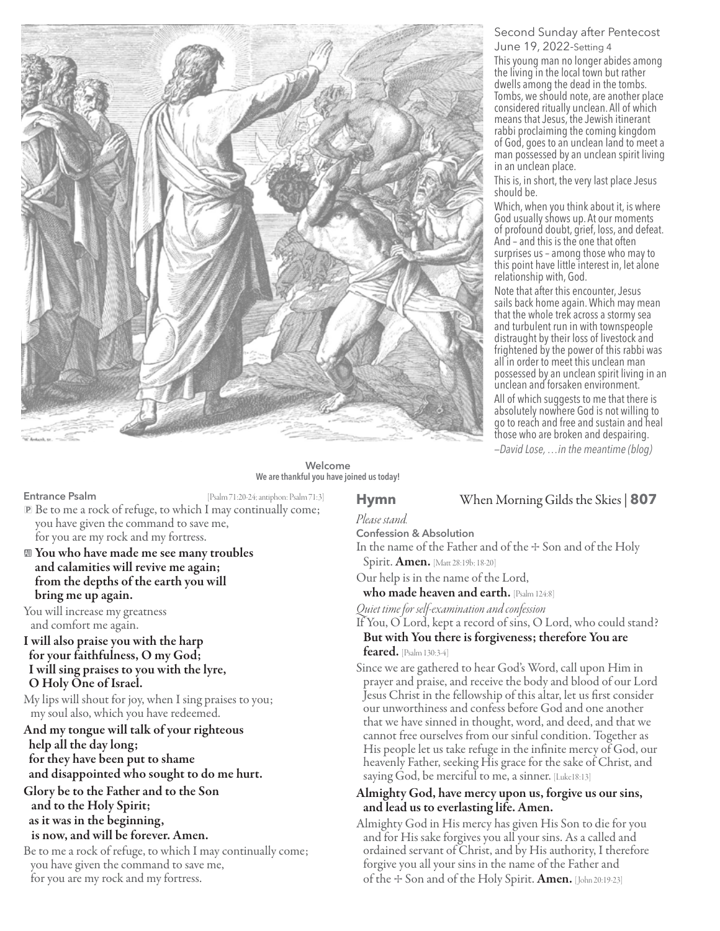

- **Entrance Psalm** [Psalm 71:20-24; antiphon: Psalm 71:3] P Be to me a rock of refuge, to which I may continually come; you have given the command to save me, for you are my rock and my fortress.
- a You who have made me see many troubles and calamities will revive me again; from the depths of the earth you will bring me up again.

You will increase my greatness and comfort me again.

I will also praise you with the harp for your faithfulness, O my God; I will sing praises to you with the lyre, O Holy One of Israel.

My lips will shout for joy, when I sing praises to you; my soul also, which you have redeemed.

#### And my tongue will talk of your righteous help all the day long; for they have been put to shame and disappointed who sought to do me hurt.

Glory be to the Father and to the Son and to the Holy Spirit; as it was in the beginning, is now, and will be forever. Amen.

Be to me a rock of refuge, to which I may continually come; you have given the command to save me, for you are my rock and my fortress.

#### Second Sunday after Pentecost June 19, 2022-Setting 4

This young man no longer abides among the living in the local town but rather dwells among the dead in the tombs. Tombs, we should note, are another place considered ritually unclean. All of which means that Jesus, the Jewish itinerant rabbi proclaiming the coming kingdom of God, goes to an unclean land to meet a man possessed by an unclean spirit living in an unclean place.

This is, in short, the very last place Jesus should be.

Which, when you think about it, is where God usually shows up. At our moments of profound doubt, grief, loss, and defeat. And – and this is the one that often surprises us – among those who may to this point have little interest in, let alone relationship with, God.

Note that after this encounter, Jesus sails back home again. Which may mean that the whole trek across a stormy sea and turbulent run in with townspeople distraught by their loss of livestock and frightened by the power of this rabbi was all in order to meet this unclean man possessed by an unclean spirit living in an unclean and forsaken environment. All of which suggests to me that there is absolutely nowhere God is not willing to go to reach and free and sustain and heal those who are broken and despairing.

*—David Lose, …in the meantime (blog)*

# **We are thankful you have joined us today!**

**Welcome**

## **Hymn** When Morning Gilds the Skies | **807**

### *Please stand.*

**Confession & Absolution**

In the name of the Father and of the  $+$  Son and of the Holy Spirit. Amen. [Matt 28:19b; 18-20]

Our help is in the name of the Lord,

who made heaven and earth. [Psalm 124:8]

*Quiet time for self-examination and confession*

If You, O Lord, kept a record of sins, O Lord, who could stand? But with You there is forgiveness; therefore You are feared. [Psalm 130:3-4]

Since we are gathered to hear God's Word, call upon Him in prayer and praise, and receive the body and blood of our Lord Jesus Christ in the fellowship of this altar, let us first consider our unworthiness and confess before God and one another that we have sinned in thought, word, and deed, and that we cannot free ourselves from our sinful condition. Together as His people let us take refuge in the infinite mercy of God, our heavenly Father, seeking His grace for the sake of Christ, and saying God, be merciful to me, a sinner. [Luke18:13]

#### Almighty God, have mercy upon us, forgive us our sins, and lead us to everlasting life. Amen.

Almighty God in His mercy has given His Son to die for you and for His sake forgives you all your sins. As a called and ordained servant of Christ, and by His authority, I therefore forgive you all your sins in the name of the Father and of the + Son and of the Holy Spirit. Amen. [John 20:19-23]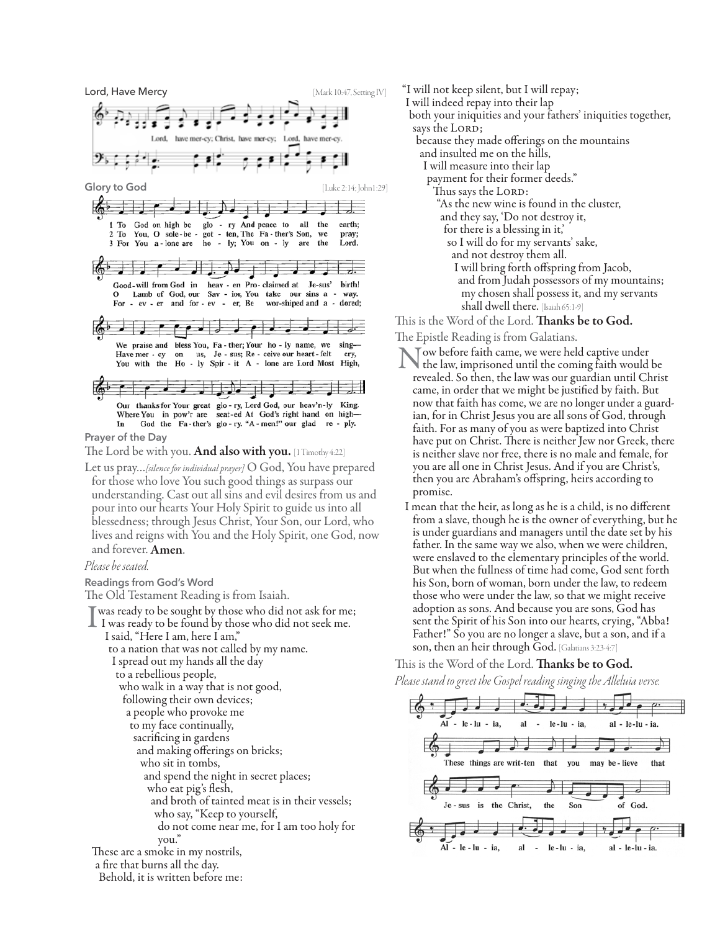

**Prayer of the Day**

The Lord be with you. And also with you. [1 Timothy 4:22]

Let us pray…*[silence for individual prayer]* O God, You have prepared for those who love You such good things as surpass our understanding. Cast out all sins and evil desires from us and pour into our hearts Your Holy Spirit to guide us into all blessedness; through Jesus Christ, Your Son, our Lord, who lives and reigns with You and the Holy Spirit, one God, now and forever. Amen.

#### *Please be seated.*

**Readings from God's Word**

The Old Testament Reading is from Isaiah.

was ready to be sought by those who did not ask for me;  $\perp$  I was ready to be found by those who did not seek me.

I said, "Here I am, here I am," to a nation that was not called by my name. I spread out my hands all the day to a rebellious people, who walk in a way that is not good, following their own devices; a people who provoke me to my face continually, sacrificing in gardens and making offerings on bricks; who sit in tombs, and spend the night in secret places; who eat pig's flesh, and broth of tainted meat is in their vessels; who say, "Keep to yourself, do not come near me, for I am too holy for you." These are a smoke in my nostrils,

a fire that burns all the day. Behold, it is written before me:

"I will not keep silent, but I will repay;

I will indeed repay into their lap

both your iniquities and your fathers' iniquities together, says the LORD;

because they made offerings on the mountains and insulted me on the hills,

#### I will measure into their lap

payment for their former deeds."

Thus says the LORD:

"As the new wine is found in the cluster,

and they say, 'Do not destroy it,

for there is a blessing in it,'

so I will do for my servants' sake,

and not destroy them all.

I will bring forth offspring from Jacob, and from Judah possessors of my mountains; my chosen shall possess it, and my servants shall dwell there. [Isaiah 65:1-9]

This is the Word of the Lord. **Thanks be to God.** 

The Epistle Reading is from Galatians.

- Tow before faith came, we were held captive under the law, imprisoned until the coming faith would be revealed. So then, the law was our guardian until Christ came, in order that we might be justified by faith. But now that faith has come, we are no longer under a guardian, for in Christ Jesus you are all sons of God, through faith. For as many of you as were baptized into Christ have put on Christ. There is neither Jew nor Greek, there is neither slave nor free, there is no male and female, for you are all one in Christ Jesus. And if you are Christ's, then you are Abraham's offspring, heirs according to promise.
- I mean that the heir, as long as he is a child, is no different from a slave, though he is the owner of everything, but he is under guardians and managers until the date set by his father. In the same way we also, when we were children, were enslaved to the elementary principles of the world. But when the fullness of time had come, God sent forth his Son, born of woman, born under the law, to redeem those who were under the law, so that we might receive adoption as sons. And because you are sons, God has sent the Spirit of his Son into our hearts, crying, "Abba! Father!" So you are no longer a slave, but a son, and if a son, then an heir through God. [Galatians 3:23-4:7]

### This is the Word of the Lord. **Thanks be to God.**

*Please stand to greet the Gospel reading singing the Alleluia verse.*

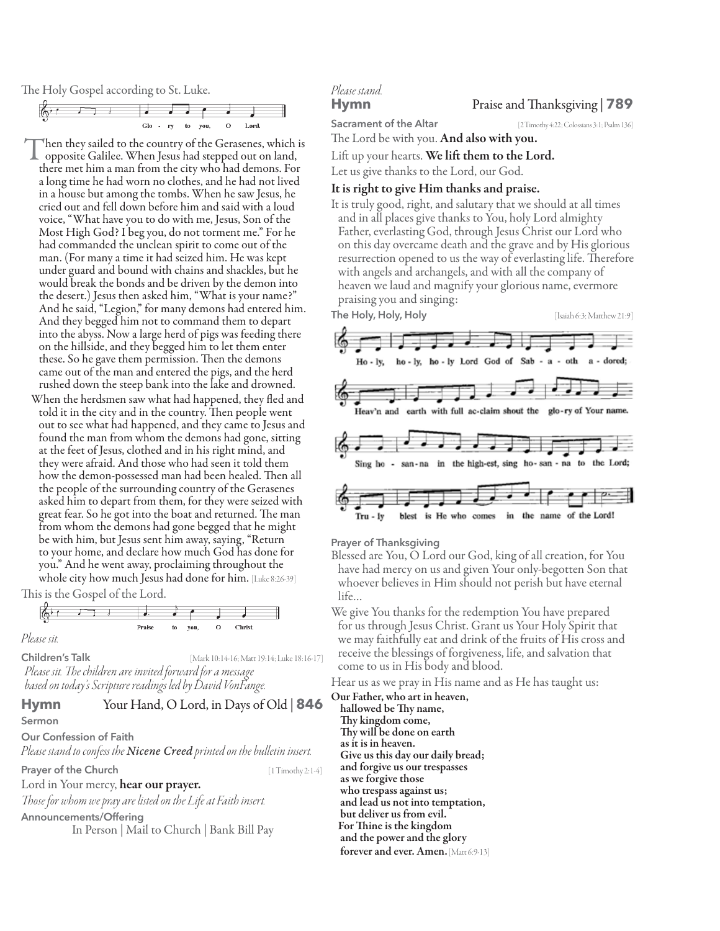The Holy Gospel according to St. Luke.

$$
\begin{array}{c|cccc}\nG_2 & & & & & \\
\hline\nG_3 & & & & & \\
\hline\nG_1 & & & & & \\
\hline\nG_2 & & & & & \\
\hline\nG_3 & & & & & \\
\hline\nG_4 & & & & & \\
\hline\nG_5 & & & & & \\
\hline\nG_6 & & & & & \\
\hline\nG_7 & & & & & \\
\hline\nG_8 & & & & & \\
\hline\nG_9 & & & & & & \\
\hline\nG_1 & & & & & & \\
\hline\nG_1 & & & & & & \\
\hline\nG_1 & & & & & & \\
\hline\nG_2 & & & & & & \\
\hline\nG_1 & & & & & & \\
\hline\nG_1 & & & & & & \\
\hline\nG_2 & & & & & & \\
\hline\nG_3 & & & & & & & \\
\hline\nG_1 & & & & & & & \\
\hline\nG_2 & & & & & & & \\
\hline\nG_3 & & & & & & & \\
\hline\nG_1 & & & & & & & \\
\hline\nG_2 & & & & & & & \\
\hline\nG_3 & & & & & & & \\
\hline\nG_4 & & & & & & & \\
\hline\nG_5 & & & & & & & \\
\hline\nG_6 & & & & & & & \\
\hline\nG_7 & & & & & & & \\
\hline\nG_8 & & & & & & & \\
\hline\nG_9 & & & & & & & & \\
\hline\nG_9 & & & & & & & & \\
\hline\nG_1 & & & & & & & & \\
\hline\nG_1 & & & & & & & & \\
\hline\nG_1 & & & & & & & & \\
\hline\nG_1 & & & & & & & & \\
\hline\nG_1 & & & & & & & & \\
\hline\nG_1 & & & & & & & & \\
\hline\nG_1 & & & & & & & & & \\
\hline\nG_2 & & & & & & & & & \\
\hline\nG_3 & & & & & & & & & \\
\hline\nG_1 & & & & & & & & & \\
\hline\nG_1 & & & & & & & & & \\
\hline\nG_2 & & & & & & & & & \\
\hline\nG_3 & & & & & & & & & \\
\hline\nG_4 & & & & & & & & & \\
\hline\nG_5 & & & & & & & & & \\
\hline\nG_7 & & & & & & & & & \\
\hline\nG_9 & & & & & & & & & \\
\hline\nG_1 & & & & & & & & & \\
$$

Then they sailed to the country of the Gerasenes, which is<br>opposite Galilee. When Jesus had stepped out on land,<br>there met him a man from the situation had demons. For there met him a man from the city who had demons. For a long time he had worn no clothes, and he had not lived in a house but among the tombs. When he saw Jesus, he cried out and fell down before him and said with a loud voice, "What have you to do with me, Jesus, Son of the Most High God? I beg you, do not torment me." For he had commanded the unclean spirit to come out of the man. (For many a time it had seized him. He was kept under guard and bound with chains and shackles, but he would break the bonds and be driven by the demon into the desert.) Jesus then asked him, "What is your name?" And he said, "Legion," for many demons had entered him. And they begged him not to command them to depart into the abyss. Now a large herd of pigs was feeding there on the hillside, and they begged him to let them enter these. So he gave them permission. Then the demons came out of the man and entered the pigs, and the herd rushed down the steep bank into the lake and drowned.

When the herdsmen saw what had happened, they fled and told it in the city and in the country. Then people went out to see what had happened, and they came to Jesus and found the man from whom the demons had gone, sitting at the feet of Jesus, clothed and in his right mind, and they were afraid. And those who had seen it told them how the demon-possessed man had been healed. Then all the people of the surrounding country of the Gerasenes asked him to depart from them, for they were seized with great fear. So he got into the boat and returned. The man from whom the demons had gone begged that he might be with him, but Jesus sent him away, saying, "Return to your home, and declare how much God has done for you." And he went away, proclaiming throughout the whole city how much Jesus had done for him. [Luke 8:26-39]

This is the Gospel of the Lord.

$$
\begin{array}{cccccccc}\n\begin{array}{cccccccc}\n\mathbf{r} & \mathbf{r} & \mathbf{r} & \mathbf{r} & \mathbf{r} & \mathbf{r} & \mathbf{r} & \mathbf{r} \\
\hline\n\mathbf{r} & \mathbf{r} & \mathbf{r} & \mathbf{r} & \mathbf{r} & \mathbf{r} & \mathbf{r} & \mathbf{r} & \mathbf{r} \\
\mathbf{r} & \mathbf{r} & \mathbf{r} & \mathbf{r} & \mathbf{r} & \mathbf{r} & \mathbf{r} & \mathbf{r} & \mathbf{r} & \mathbf{r} \\
\mathbf{r} & \mathbf{r} & \mathbf{r} & \mathbf{r} & \mathbf{r} & \mathbf{r} & \mathbf{r} & \mathbf{r} & \mathbf{r} & \mathbf{r} \\
\mathbf{r} & \mathbf{r} & \mathbf{r} & \mathbf{r} & \mathbf{r} & \mathbf{r} & \mathbf{r} & \mathbf{r} & \mathbf{r} & \mathbf{r} & \mathbf{r} \\
\mathbf{r} & \mathbf{r} & \mathbf{r} & \mathbf{r} & \mathbf{r} & \mathbf{r} & \mathbf{r} & \mathbf{r} & \mathbf{r} & \mathbf{r} & \mathbf{r} \\
\mathbf{r} & \mathbf{r} & \mathbf{r} & \mathbf{r} & \mathbf{r} & \mathbf{r} & \mathbf{r} & \mathbf{r} & \mathbf{r} & \mathbf{r} & \mathbf{r} & \mathbf{r} \\
\mathbf{r} & \mathbf{r} & \mathbf{r} & \mathbf{r} & \mathbf{r} & \mathbf{r} & \mathbf{r} & \mathbf{r} & \mathbf{r} & \mathbf{r} & \mathbf{r} & \mathbf{r} \\
\mathbf{r} & \mathbf{r} & \mathbf{r} & \mathbf{r} & \mathbf{r} & \mathbf{r} & \mathbf{r} & \mathbf{r} & \mathbf{r} & \mathbf{r} & \mathbf{r} & \mathbf{r} & \mathbf{r} & \mathbf{r} \\
\mathbf{r} & \mathbf{r} & \mathbf{r} & \mathbf{r} & \mathbf{r} & \mathbf{r} & \mathbf{r} & \mathbf{r} & \mathbf
$$

*Please sit.*

**Children's Talk** [Mark 10:14-16; Mart 19:14; Luke 18:16-17] *Please sit. The children are invited forward for a message based on today's Scripture readings led by David VonFange.*

#### **Hymn** Your Hand, O Lord, in Days of Old | **846**

**Sermon**

**Our Confession of Faith**

*Please stand to confess the Nicene Creed printed on the bulletin insert.*

**Prayer of the Church** <br>
[1 Timothy 2:1-4]

Lord in Your mercy, hear our prayer.

*Those for whom we pray are listed on the Life at Faith insert.* **Announcements/Offering**

In Person | Mail to Church | Bank Bill Pay

# *Please stand.*

**Hymn** Praise and Thanksgiving | **789**

**Sacrament of the Altar** [2 Timothy 4:22; Colossians 3:1; Psalm 136]

The Lord be with you. **And also with you.** 

Lift up your hearts. We lift them to the Lord.

Let us give thanks to the Lord, our God.

#### It is right to give Him thanks and praise.

It is truly good, right, and salutary that we should at all times and in all places give thanks to You, holy Lord almighty Father, everlasting God, through Jesus Christ our Lord who on this day overcame death and the grave and by His glorious resurrection opened to us the way of everlasting life. Therefore with angels and archangels, and with all the company of heaven we laud and magnify your glorious name, evermore praising you and singing:



**Prayer of Thanksgiving**

- Blessed are You, O Lord our God, king of all creation, for You have had mercy on us and given Your only-begotten Son that whoever believes in Him should not perish but have eternal life…
- We give You thanks for the redemption You have prepared for us through Jesus Christ. Grant us Your Holy Spirit that we may faithfully eat and drink of the fruits of His cross and receive the blessings of forgiveness, life, and salvation that come to us in His body and blood.

Hear us as we pray in His name and as He has taught us:

Our Father, who art in heaven, hallowed be Thy name, Thy kingdom come, Thy will be done on earth as it is in heaven. Give us this day our daily bread; and forgive us our trespasses as we forgive those who trespass against us; and lead us not into temptation, but deliver us from evil. For Thine is the kingdom and the power and the glory forever and ever. Amen. [Matt 6:9-13]